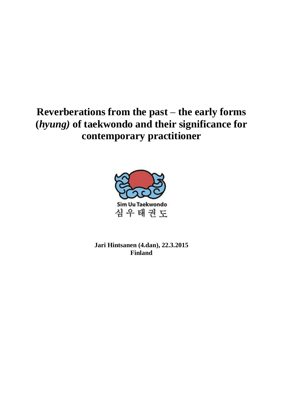# **Reverberations from the past** – **the early forms (***hyung)* **of taekwondo and their significance for contemporary practitioner**



**Jari Hintsanen (4.dan), 22.3.2015 Finland**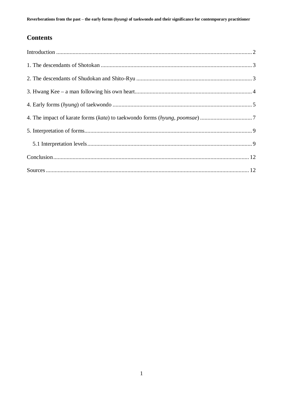## **Contents**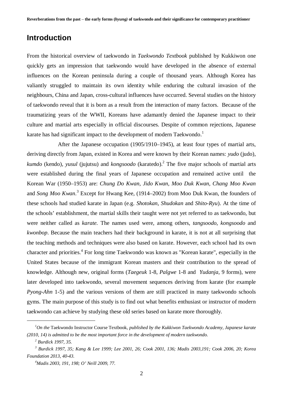#### **Introduction**

From the historical overview of taekwondo in *Taekwondo Textbook* published by Kukkiwon one quickly gets an impression that taekwondo would have developed in the absence of external influences on the Korean peninsula during a couple of thousand years. Although Korea has valiantly struggled to maintain its own identity while enduring the cultural invasion of the neighbours, China and Japan, cross-cultural influences have occurred. Several studies on the history of taekwondo reveal that it is born as a result from the interaction of many factors. Because of the traumatizing years of the WWII, Koreans have adamantly denied the Japanese impact to their culture and martial arts especially in official discourses. Despite of common rejections, Japanese karate has had significant impact to the development of modern Taekwondo.<sup>1</sup>

After the Japanese occupation (1905/1910–1945), at least four types of martial arts, deriving directly from Japan, existed in Korea and were known by their Korean names: *yudo* (judo), *kumdo* (kendo), *yusul* (jujutsu) and *kongsoodo* (karatedo).<sup>2</sup> The five major schools of martial arts were established during the final years of Japanese occupation and remained active until the Korean War (1950–1953) are: *Chung Do Kwan, Jido Kwan, Moo Duk Kwan, Chang Moo Kwan*  and *Song Moo Kwan*. 3 Except for Hwang Kee, (1914–2002) from Moo Duk Kwan, the founders of these schools had studied karate in Japan (e.g. *Shotokan*, *Shudokan* and *Shito-Ryu*). At the time of the schools' establishment, the martial skills their taught were not yet referred to as taekwondo, but were neither called as *karate.* The names used were, among others, *tangsoodo*, *kongsoodo* and *kwonbop*. Because the main teachers had their background in karate, it is not at all surprising that the teaching methods and techniques were also based on karate. However, each school had its own character and priorities.<sup>4</sup> For long time Taekwondo was known as "Korean karate", especially in the United States because of the immigrant Korean masters and their contribution to the spread of knowledge. Although new, original forms (*Taegeuk* 1-8, *Palgwe* 1-8 and *Yudanja*, 9 forms), were later developed into taekwondo, several movement sequences deriving from karate (for example *Pyong-Ahn* 1-5) and the various versions of them are still practiced in many taekwondo schools gyms. The main purpose of this study is to find out what benefits enthusiast or instructor of modern taekwondo can achieve by studying these old series based on karate more thoroughly.

1

*<sup>1</sup>On the* Taekwondo Instructor Course Textbook*, published by the Kukkiwon Taekwondo Academy, Japanese karate (2010, 14) is admitted to be the most important force in the development of modern taekwondo.* 

*<sup>2</sup> Burdick 1997, 35.* 

*<sup>3</sup> Burdick 1997, 35; Kang & Lee 1999; Lee 2001, 26; Cook 2001, 136; Madis 2003,191; Cook 2006, 20; Korea Foundation 2013, 40-43.* 

*<sup>4</sup>Madis 2003, 191, 198; O' Neill 2009, 77.*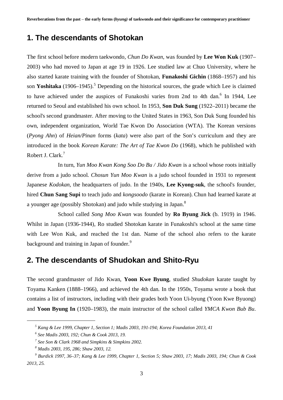#### **1. The descendants of Shotokan**

The first school before modern taekwondo, *Chun Do Kwan*, was founded by **Lee Won Kuk** (1907– 2003) who had moved to Japan at age 19 in 1926. Lee studied law at Chuo University, where he also started karate training with the founder of Shotokan, **Funakoshi Gichin** (1868–1957) and his son Yoshitaka (1906–1945).<sup>5</sup> Depending on the historical sources, the grade which Lee is claimed to have achieved under the auspices of Funakoshi varies from 2nd to 4th dan.<sup>6</sup> In 1944, Lee returned to Seoul and established his own school. In 1953, **Son Duk Sung** (1922–2011) became the school's second grandmaster. After moving to the United States in 1963, Son Duk Sung founded his own, independent organization, World Tae Kwon Do Association (WTA). The Korean versions (*Pyong Ahn*) of *Heian/Pinan* forms (*kata*) were also part of the Son's curriculum and they are introduced in the book *Korean Karate: The Art of Tae Kwon Do* (1968), which he published with Robert J. Clark.<sup>7</sup>

In turn, *Yun Moo Kwan Kong Soo Do Bu / Jido Kwan* is a school whose roots initially derive from a judo school. *Chosun Yun Moo Kwan* is a judo school founded in 1931 to represent Japanese *Kodokan*, the headquarters of judo. In the 1940s, **Lee Kyong-suk**, the school's founder, hired **Chun Sang Supi** to teach judo and *kongsoodo* (karate in Korean). Chun had learned karate at a younger age (possibly Shotokan) and judo while studying in Japan.<sup>8</sup>

School called *Song Moo Kwan* was founded by **Ro Byung Jick** (b. 1919) in 1946. Whilst in Japan (1936-1944), Ro studied Shotokan karate in Funakoshi's school at the same time with Lee Won Kuk, and reached the 1st dan. Name of the school also refers to the karate background and training in Japan of founder.<sup>9</sup>

### **2. The descendants of Shudokan and Shito-Ryu**

The second grandmaster of Jido Kwan, **Yoon Kwe Byung**, studied *Shudokan* karate taught by Toyama Kanken (1888–1966), and achieved the 4th dan. In the 1950s, Toyama wrote a book that contains a list of instructors, including with their grades both Yoon Ui-byung (Yoon Kwe Byuong) and **Yoon Byung In** (1920–1983), the main instructor of the school called *YMCA Kwon Bub Bu*.

1

*<sup>5</sup> Kang & Lee 1999, Chapter 1, Section 1; Madis 2003, 191-194; Korea Foundation 2013, 41* 

*<sup>6</sup> See Madis 2003, 192; Chun & Cook 2013, 19.* 

*<sup>7</sup> See Son & Clark 1968 and Simpkins & Simpkins 2002.* 

*<sup>8</sup> Madis 2003, 195, 286; Shaw 2003, 12.* 

*<sup>9</sup> Burdick 1997, 36–37; Kang & Lee 1999, Chapter 1, Section 5; Shaw 2003, 17; Madis 2003, 194; Chun & Cook 2013, 25.*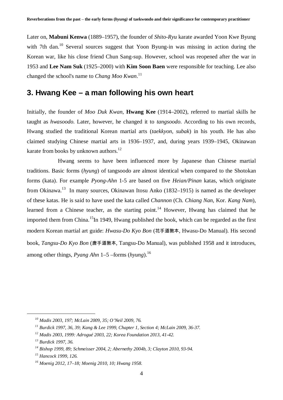Later on, **Mabuni Kenwa** (1889–1957), the founder of *Shito-Ryu* karate awarded Yoon Kwe Byung with 7th dan.<sup>10</sup> Several sources suggest that Yoon Byung-in was missing in action during the Korean war, like his close friend Chun Sang-sup. However, school was reopened after the war in 1953 and **Lee Nam Suk** (1925–2000) with **Kim Soon Baen** were responsible for teaching. Lee also changed the school's name to *Chang Moo Kwan*. 11

#### **3. Hwang Kee – a man following his own heart**

Initially, the founder of *Moo Duk Kwan,* **Hwang Kee** (1914–2002), referred to martial skills he taught as *hwasoodo.* Later, however, he changed it to *tangsoodo*. According to his own records, Hwang studied the traditional Korean martial arts (*taekkyon, subak*) in his youth. He has also claimed studying Chinese martial arts in 1936–1937, and, during years 1939–1945, Okinawan karate from books by unknown authors.<sup>12</sup>

Hwang seems to have been influenced more by Japanese than Chinese martial traditions. Basic forms (*hyung*) of tangsoodo are almost identical when compared to the Shotokan forms (kata). For example *Pyong-Ahn* 1-5 are based on five *Heian/Pinan* katas, which originate from Okinawa.<sup>13</sup> In many sources, Okinawan Itosu Anko (1832–1915) is named as the developer of these katas. He is said to have used the kata called *Channon* (Ch. *Chiang Nan*, Kor. *Kang Nam*), learned from a Chinese teacher, as the starting point.<sup>14</sup> However, Hwang has claimed that he imported them from China.<sup>15</sup>In 1949, Hwang published the book, which can be regarded as the first modern Korean martial art guide: *Hwasu-Do Kyo Bon* (花手道敎本, Hwasu-Do Manual). His second book, *Tangsu-Do Kyo Bon* (唐手道敎本, Tangsu-Do Manual), was published 1958 and it introduces, among other things, *Pyang Ahn* 1–5 –forms (*hyung*).<sup>16</sup>

*<sup>10</sup> Madis 2003, 197; McLain 2009, 35; O'Neil 2009, 76.* 

*<sup>11</sup> Burdick 1997, 36, 39; Kang & Lee 1999, Chapter 1, Section 4; McLain 2009, 36-37.* 

*<sup>12</sup> Madis 2003, 1999: Adrogué 2003, 22; Korea Foundation 2013, 41-42.* 

*<sup>13</sup> Burdick 1997, 36.* 

*<sup>14</sup> Bishop 1999, 89; Schmeisser 2004, 2; Abernethy 2004b, 3; Clayton 2010, 93-94.* 

*<sup>15</sup> Hancock 1999, 126.* 

*<sup>16</sup> Moenig 2012, 17–18; Moenig 2010, 10; Hwang 1958.*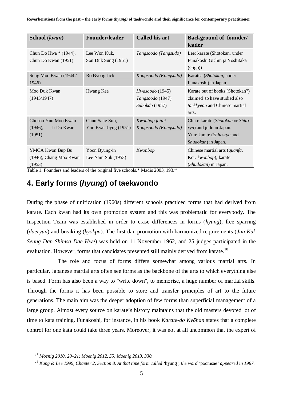| School (kwan)                                          | <b>Founder/leader</b>                  | <b>Called his art</b>                                 | <b>Background of founder/</b><br>leader                                                                             |
|--------------------------------------------------------|----------------------------------------|-------------------------------------------------------|---------------------------------------------------------------------------------------------------------------------|
| Chun Do Hwa * (1944),<br>Chun Do Kwan (1951)           | Lee Won Kuk.<br>Son Duk Sung (1951)    | Tangsoodo (Tangsudo)                                  | Lee: karate (Shotokan, under<br>Funakoshi Gichin ja Yoshitaka<br>(Gigo)                                             |
| Song Moo Kwan (1944/<br>1946)                          | Ro Byong Jick                          | Kongsoodo (Kongsudo)                                  | Karatea (Shotokan, under<br>Funakoshi) in Japan.                                                                    |
| Moo Duk Kwan<br>(1945/1947)                            | Hwang Kee                              | Hwasoodo (1945)<br>Tangsoodo (1947)<br>Subakdo (1957) | Karate out of books (Shotokan?)<br>claimed to have studied also<br>taekkyeon and Chinese martial<br>arts.           |
| Choson Yun Moo Kwan<br>(1946),<br>Ji Do Kwan<br>(1951) | Chun Sang Sup,<br>Yun Kwei-byug (1951) | Kwonbop ja/tai<br>Kongsoodo (Kongsudo)                | Chun: karate (Shotokan or Shito-<br>$ryu$ ) and judo in Japan.<br>Yun: karate (Shito-ryu and<br>Shudokan) in Japan. |
| YMCA Kwon Bup Bu<br>(1946), Chang Moo Kwan<br>(1953)   | Yoon Byung-in<br>Lee Nam Suk $(1953)$  | Kwonbop                                               | Chinese martial arts (quanfa,<br>Kor. kwonbop), karate<br>(Shudokan) in Japan.                                      |

Table 1. Founders and leaders of the original five schools.\* Madis 2003, 193.<sup>17</sup>

## **4. Early forms (***hyung***) of taekwondo**

During the phase of unification (1960s) different schools practiced forms that had derived from karate. Each kwan had its own promotion system and this was problematic for everybody. The Inspection Team was established in order to erase differences in forms (*hyung*), free sparring (*daeryun*) and breaking (*kyokpa*). The first dan promotion with harmonized requirements (*Jun Kuk Seung Dan Shimsa Dae Hwe*) was held on 11 November 1962, and 25 judges participated in the evaluation. However, forms that candidates presented still mainly derived from karate.<sup>18</sup>

The role and focus of forms differs somewhat among various martial arts. In particular, Japanese martial arts often see forms as the backbone of the arts to which everything else is based. Form has also been a way to "write down", to memorise, a huge number of martial skills. Through the forms it has been possible to store and transfer principles of art to the future generations. The main aim was the deeper adoption of few forms than superficial management of a large group. Almost every source on karate's history maintains that the old masters devoted lot of time to kata training. Funakoshi, for instance, in his book *Karate-do Kyǀhan* states that a complete control for one kata could take three years. Moreover, it was not at all uncommon that the expert of

*<sup>17</sup> Moenig 2010, 20–21; Moenig 2012, 55; Moenig 2013, 330.* 

*<sup>18</sup> Kang & Lee 1999, Chapter 2, Section 8. At that time form called '*hyung*', the word '*poomsae*' appeared in 1987.*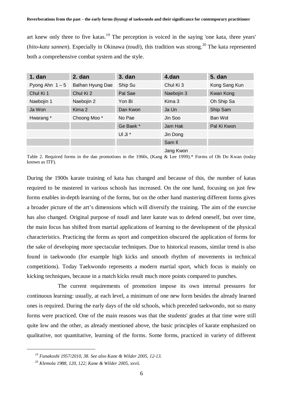art knew only three to five katas.<sup>19</sup> The perception is voiced in the saying 'one kata, three years' (*hito-kata sannen*). Especially in Okinawa (*toudi*), this tradition was strong.<sup>20</sup> The kata represented both a comprehensive combat system and the style.

| $1.$ dan        | 2. dan           | $3.$ dan  | 4.dan      | <b>5. dan</b> |
|-----------------|------------------|-----------|------------|---------------|
| Pyong Ahn $1-5$ | Balhan Hyung Dae | Ship Su   | Chul Ki 3  | Kong Sang Kun |
| Chul Ki 1       | Chul Ki 2        | Pal Sae   | Naebojin 3 | Kwan Kong     |
| Naebojin 1      | Naebojin 2       | Yon Bi    | Kima 3     | Oh Ship Sa    |
| Ja Won          | Kima 2           | Dan Kwon  | Ja Un      | Ship Sam      |
| Hwarang*        | Choong Moo*      | No Pae    | Jin Soo    | Ban Wol       |
|                 |                  | Ge Baek * | Jam Hak    | Pal Ki Kwon   |
|                 |                  | UI Ji *   | Jin Dong   |               |
|                 |                  |           | Sam II     |               |
|                 |                  |           |            |               |

Jang Kwon

Table 2. Required forms in the dan promotions in the 1960s, (Kang & Lee 1999).\* Forms of Oh Do Kwan (today known as ITF).

During the 1900s karate training of kata has changed and because of this, the number of katas required to be mastered in various schools has increased. On the one hand, focusing on just few forms enables in-depth learning of the forms, but on the other hand mastering different forms gives a broader picture of the art's dimensions which will diversify the training. The aim of the exercise has also changed. Original purpose of *toudi* and later karate was to defend oneself, but over time, the main focus has shifted from martial applications of learning to the development of the physical characteristics. Practicing the forms as sport and competition obscured the application of forms for the sake of developing more spectacular techniques. Due to historical reasons, similar trend is also found in taekwondo (for example high kicks and smooth rhythm of movements in technical competitions). Today Taekwondo represents a modern martial sport, which focus is mainly on kicking techniques, because in a match kicks result much more points compared to punches.

The current requirements of promotion impose its own internal pressures for continuous learning: usually, at each level, a minimum of one new form besides the already learned ones is required. During the early days of the old schools, which preceded taekwondo, not so many forms were practiced. One of the main reasons was that the students' grades at that time were still quite low and the other, as already mentioned above, the basic principles of karate emphasized on qualitative, not quantitative, learning of the forms. Some forms, practiced in variety of different

*<sup>19</sup> Funakoshi 1957/2010, 38. See also Kane & Wilder 2005, 12-13.* 

*<sup>20</sup> Klemola 1988, 120, 122; Kane & Wilder 2005, xxvii.*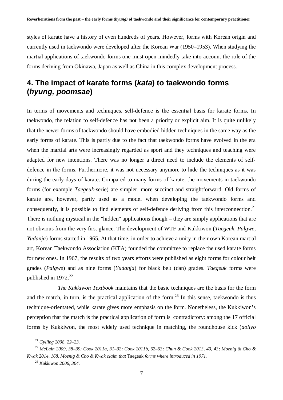styles of karate have a history of even hundreds of years. However, forms with Korean origin and currently used in taekwondo were developed after the Korean War (1950–1953). When studying the martial applications of taekwondo forms one must open-mindedly take into account the role of the forms deriving from Okinawa, Japan as well as China in this complex development process.

### **4. The impact of karate forms (***kata***) to taekwondo forms (***hyung, poomsae***)**

In terms of movements and techniques, self-defence is the essential basis for karate forms. In taekwondo, the relation to self-defence has not been a priority or explicit aim. It is quite unlikely that the newer forms of taekwondo should have embodied hidden techniques in the same way as the early forms of karate. This is partly due to the fact that taekwondo forms have evolved in the era when the martial arts were increasingly regarded as sport and they techniques and teaching were adapted for new intentions. There was no longer a direct need to include the elements of selfdefence in the forms. Furthermore, it was not necessary anymore to hide the techniques as it was during the early days of karate. Compared to many forms of karate, the movements in taekwondo forms (for example *Taegeuk*-serie) are simpler, more succinct and straightforward. Old forms of karate are, however, partly used as a model when developing the taekwondo forms and consequently, it is possible to find elements of self-defence deriving from this interconnection.<sup>21</sup> There is nothing mystical in the "hidden" applications though – they are simply applications that are not obvious from the very first glance. The development of WTF and Kukkiwon (*Taegeuk, Palgwe, Yudanja*) forms started in 1965. At that time, in order to achieve a unity in their own Korean martial art, Korean Taekwondo Association (KTA) founded the committee to replace the used karate forms for new ones. In 1967, the results of two years efforts were published as eight forms for colour belt grades (*Palgwe*) and as nine forms (*Yudanja*) for black belt (dan) grades. *Taegeuk* forms were published in  $1972.<sup>22</sup>$ 

*The Kukkiwon Textbook* maintains that the basic techniques are the basis for the form and the match, in turn, is the practical application of the form.<sup>23</sup> In this sense, taekwondo is thus technique-orientated, while karate gives more emphasis on the form. Nonetheless, the Kukkiwon's perception that the match is the practical application of form is contradictory: among the 17 official forms by Kukkiwon, the most widely used technique in matching, the roundhouse kick (*dollyo* 

1

*<sup>21</sup> Gylling 2008, 22–23.* 

*<sup>22</sup> McLain 2009, 38–39; Cook 2011a, 31–32; Cook 2011b, 62–63; Chun & Cook 2013, 40, 43; Moenig & Cho & Kwak 2014, 168. Moenig & Cho & Kwak claim that* Taegeuk *forms where introduced in 1971.* 

*<sup>23</sup> Kukkiwon 2006, 304.*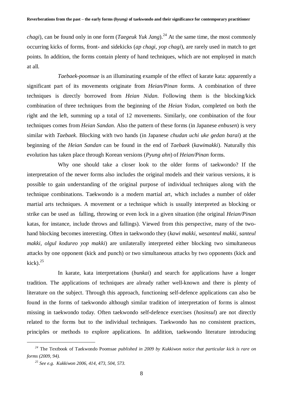*chagi*), can be found only in one form (*Taegeuk Yuk Jang*).<sup>24</sup> At the same time, the most commonly occurring kicks of forms, front- and sidekicks (*ap chagi*, *yop chagi*), are rarely used in match to get points. In addition, the forms contain plenty of hand techniques, which are not employed in match at all.

*Taebaek-poomsae* is an illuminating example of the effect of karate kata: apparently a significant part of its movements originate from *Heian/Pinan* forms. A combination of three techniques is directly borrowed from *Heian Nidan*. Following them is the blocking/kick combination of three techniques from the beginning of the *Heian Yodan*, completed on both the right and the left, summing up a total of 12 movements. Similarly, one combination of the four techniques comes from *Heian Sandan*. Also the pattern of these forms (in Japanese *enbusen*) is very similar with *Taebaek*. Blocking with two hands (in Japanese *chudan uchi uke gedan barai*) at the beginning of the *Heian Sandan* can be found in the end of *Taebaek* (*kawimakki*). Naturally this evolution has taken place through Korean versions (*Pyung ahn*) of *Heian/Pinan* forms.

Why one should take a closer look to the older forms of taekwondo? If the interpretation of the newer forms also includes the original models and their various versions, it is possible to gain understanding of the original purpose of individual techniques along with the technique combinations. Taekwondo is a modern martial art, which includes a number of older martial arts techniques. A movement or a technique which is usually interpreted as blocking or strike can be used as falling, throwing or even lock in a given situation (the original *Heian/Pinan* katas, for instance, include throws and fallings). Viewed from this perspective, many of the twohand blocking becomes interesting. Often in taekwondo they (*kawi makki, wesanteul makki, santeul makki, olgul kodureo yop makki*) are unilaterally interpreted either blocking two simultaneous attacks by one opponent (kick and punch) or two simultaneous attacks by two opponents (kick and  $kick$ ).<sup>25</sup>

In karate, kata interpretations (*bunkai*) and search for applications have a longer tradition. The applications of techniques are already rather well-known and there is plenty of literature on the subject. Through this approach, functioning self-defence applications can also be found in the forms of taekwondo although similar tradition of interpretation of forms is almost missing in taekwondo today. Often taekwondo self-defence exercises (*hosinsul*) are not directly related to the forms but to the individual techniques. Taekwondo has no consistent practices, principles or methods to explore applications. In addition, taekwondo literature introducing

*<sup>24</sup>* The Textbook of Taekwondo Poomsae *published in 2009 by Kukkiwon notice that particular kick is rare on forms (2009, 94).* 

*<sup>25</sup> See e.g. Kukkiwon 2006, 414, 473, 504, 573.*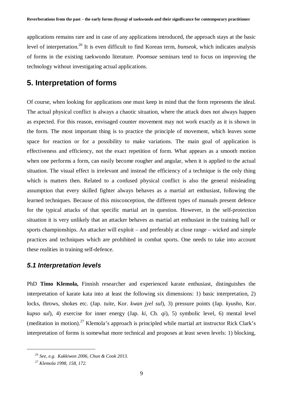applications remains rare and in case of any applications introduced, the approach stays at the basic level of interpretation.<sup>26</sup> It is even difficult to find Korean term, *bunseok*, which indicates analysis of forms in the existing taekwondo literature. *Poomsae* seminars tend to focus on improving the technology without investigating actual applications.

### **5. Interpretation of forms**

Of course, when looking for applications one must keep in mind that the form represents the ideal. The actual physical conflict is always a chaotic situation, where the attack does not always happen as expected. For this reason, envisaged counter movement may not work exactly as it is shown in the form. The most important thing is to practice the principle of movement, which leaves some space for reaction or for a possibility to make variations. The main goal of application is effectiveness and efficiency, not the exact repetition of form. What appears as a smooth motion when one performs a form, can easily become rougher and angular, when it is applied to the actual situation. The visual effect is irrelevant and instead the efficiency of a technique is the only thing which is matters then. Related to a confused physical conflict is also the general misleading assumption that every skilled fighter always behaves as a martial art enthusiast, following the learned techniques. Because of this misconception, the different types of manuals present defence for the typical attacks of that specific martial art in question. However, in the self-protection situation it is very unlikely that an attacker behaves as martial art enthusiast in the training hall or sports championships. An attacker will exploit – and preferably at close range – wicked and simple practices and techniques which are prohibited in combat sports. One needs to take into account these realities in training self-defence.

#### *5.1 Interpretation levels*

PhD **Timo Klemola,** Finnish researcher and experienced karate enthusiast, distinguishes the interpretation of karate kata into at least the following six dimensions: 1) basic interpretation, 2) locks, throws, shokes etc. (Jap. *tuite*, Kor. *kwan jyel sul*), 3) pressure points (Jap. *kyusho*, Kor. *kupso sul*), 4) exercise for inner energy (Jap. *ki*, Ch. *qi*), 5) symbolic level, 6) mental level (meditation in motion).<sup>27</sup> Klemola's approach is principled while martial art instructor Rick Clark's interpretation of forms is somewhat more technical and proposes at least seven levels: 1) blocking,

*<sup>26</sup> See, e.g. Kukkiwon 2006, Chun & Cook 2013.* 

*<sup>27</sup> Klemola 1998, 158, 172.*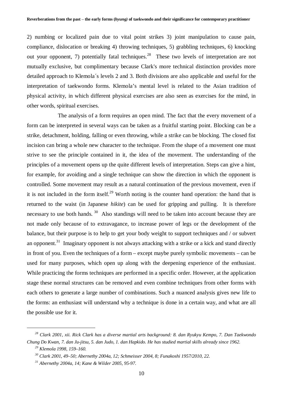2) numbing or localized pain due to vital point strikes 3) joint manipulation to cause pain, compliance, dislocation or breaking 4) throwing techniques, 5) grabbling techniques, 6) knocking out your opponent, 7) potentially fatal techniques.<sup>28</sup> These two levels of interpretation are not mutually exclusive, but complimentary because Clark's more technical distinction provides more detailed approach to Klemola´s levels 2 and 3. Both divisions are also applicable and useful for the interpretation of taekwondo forms. Klemola's mental level is related to the Asian tradition of physical activity, in which different physical exercises are also seen as exercises for the mind, in other words, spiritual exercises.

The analysis of a form requires an open mind. The fact that the every movement of a form can be interpreted in several ways can be taken as a fruitful starting point. Blocking can be a strike, detachment, holding, falling or even throwing, while a strike can be blocking. The closed fist incision can bring a whole new character to the technique. From the shape of a movement one must strive to see the principle contained in it, the idea of the movement. The understanding of the principles of a movement opens up the quite different levels of interpretation. Steps can give a hint, for example, for avoiding and a single technique can show the direction in which the opponent is controlled. Some movement may result as a natural continuation of the previous movement, even if it is not included in the form itself.<sup>29</sup> Worth noting is the counter hand operation: the hand that is returned to the waist (in Japanese *hikite*) can be used for gripping and pulling. It is therefore necessary to use both hands.<sup>30</sup> Also standings will need to be taken into account because they are not made only because of to extravagance, to increase power of legs or the development of the balance, but their purpose is to help to get your body weight to support techniques and / or subvert an opponent.<sup>31</sup> Imaginary opponent is not always attacking with a strike or a kick and stand directly in front of you. Even the techniques of a form – except maybe purely symbolic movements – can be used for many purposes, which open up along with the deepening experience of the enthusiast. While practicing the forms techniques are performed in a specific order. However, at the application stage these normal structures can be removed and even combine techniques from other forms with each others to generate a large number of combinations. Such a nuanced analysis gives new life to the forms: an enthusiast will understand why a technique is done in a certain way, and what are all the possible use for it.

*<sup>28</sup> Clark 2001, xii. Rick Clark has a diverse martial arts background: 8. dan Ryukyu Kempo, 7. Dan Taekwondo Chung Do Kwan, 7. dan Ju-jitsu, 5. dan Judo, 1. dan Hapkido. He has studied martial skills already since 1962.* 

*<sup>29</sup> Klemola 1998, 159–160.* 

*<sup>30</sup> Clark 2001, 49–50; Abernethy 2004a, 12; Schmeisser 2004, 8; Funakoshi 1957/2010, 22.* 

*<sup>31</sup> Abernethy 2004a, 14; Kane & Wilder 2005, 95-97.*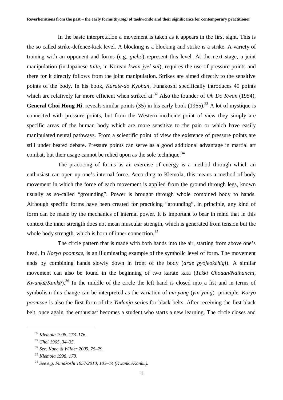In the basic interpretation a movement is taken as it appears in the first sight. This is the so called strike-defence-kick level. A blocking is a blocking and strike is a strike. A variety of training with an opponent and forms (e.g. *gicho*) represent this level. At the next stage, a joint manipulation (in Japanese *tuite*, in Korean *kwan jyel sul*), requires the use of pressure points and there for it directly follows from the joint manipulation. Strikes are aimed directly to the sensitive points of the body. In his book, *Karate-do Kyohan*, Funakoshi specifically introduces 40 points which are relatively far more efficient when striked at.<sup>32</sup> Also the founder of *Oh Do Kwan* (1954), **General Choi Hong Hi**, reveals similar points  $(35)$  in his early book  $(1965)$ .<sup>33</sup> A lot of mystique is connected with pressure points, but from the Western medicine point of view they simply are specific areas of the human body which are more sensitive to the pain or which have easily manipulated neural pathways. From a scientific point of view the existence of pressure points are still under heated debate. Pressure points can serve as a good additional advantage in martial art combat, but their usage cannot be relied upon as the sole technique.<sup>34</sup>

The practicing of forms as an exercise of energy is a method through which an enthusiast can open up one's internal force. According to Klemola, this means a method of body movement in which the force of each movement is applied from the ground through legs, known usually as so-called "grounding". Power is brought through whole combined body to hands. Although specific forms have been created for practicing "grounding", in principle, any kind of form can be made by the mechanics of internal power. It is important to bear in mind that in this context the inner strength does not mean muscular strength, which is generated from tension but the whole body strength, which is born of inner connection.<sup>35</sup>

The circle pattern that is made with both hands into the air, starting from above one's head, in *Koryo poomsae*, is an illuminating example of the symbolic level of form. The movement ends by combining hands slowly down in front of the body (*arae pyojeokchigi*). A similar movement can also be found in the beginning of two karate kata (*Tekki Chodan/Naihanchi*, *Kwankū/Kankū*).<sup>36</sup> In the middle of the circle the left hand is closed into a fist and in terms of symbolism this change can be interpreted as the variation of *um-yang* (*yin-yang*) -principle. *Koryo poomsae* is also the first form of the *Yudanja*-series for black belts. After receiving the first black belt, once again, the enthusiast becomes a student who starts a new learning. The circle closes and

*<sup>32</sup> Klemola 1998, 173–176.* 

*<sup>33</sup> Choi 1965, 34–35.* 

*<sup>34</sup> See. Kane & Wilder 2005, 75–79.* 

*<sup>35</sup> Klemola 1998, 178.* 

*<sup>36</sup> See e.g. Funakoshi 1957/2010, 103–14 (Kwanknj/Kanknj).*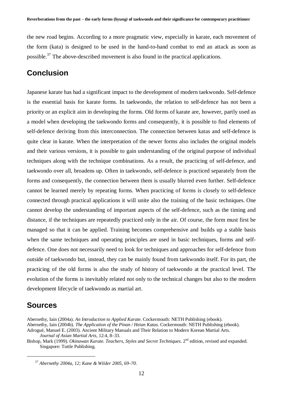the new road begins. According to a more pragmatic view, especially in karate, each movement of the form (kata) is designed to be used in the hand-to-hand combat to end an attack as soon as possible.<sup>37</sup> The above-described movement is also found in the practical applications.

### **Conclusion**

Japanese karate has had a significant impact to the development of modern taekwondo. Self-defence is the essential basis for karate forms. In taekwondo, the relation to self-defence has not been a priority or an explicit aim in developing the forms. Old forms of karate are, however, partly used as a model when developing the taekwondo forms and consequently, it is possible to find elements of self-defence deriving from this interconnection. The connection between katas and self-defence is quite clear in karate. When the interpretation of the newer forms also includes the original models and their various versions, it is possible to gain understanding of the original purpose of individual techniques along with the technique combinations. As a result, the practicing of self-defence, and taekwondo over all, broadens up. Often in taekwondo, self-defence is practiced separately from the forms and consequently, the connection between them is usually blurred even further. Self-defence cannot be learned merely by repeating forms. When practicing of forms is closely to self-defence connected through practical applications it will unite also the training of the basic techniques. One cannot develop the understanding of important aspects of the self-defence, such as the timing and distance, if the techniques are repeatedly practiced only in the air. Of course, the form must first be managed so that it can be applied. Training becomes comprehensive and builds up a stable basis when the same techniques and operating principles are used in basic techniques, forms and selfdefence. One does not necessarily need to look for techniques and approaches for self-defence from outside of taekwondo but, instead, they can be mainly found from taekwondo itself. For its part, the practicing of the old forms is also the study of history of taekwondo at the practical level. The evolution of the forms is inevitably related not only to the technical changes but also to the modern development lifecycle of taekwondo as martial art.

#### **Sources**

<u>.</u>

Bishop, Mark (1999). *Okinawan Karate. Teachers, Styles and Secret Techniques*. 2<sup>nd</sup> edition, revised and expanded. Singapore: Tuttle Publishing.

Abernethy, Iain (2004a). *An Introduction to Applied Karate*. Cockermouth: NETH Publishing (ebook). Abernethy, Iain (2004b). *The Application of the Pinan / Heian Katas.* Cockermouth: NETH Publishing (ebook). Adrogué, Manuel E. (2003). Ancient Military Manuals and Their Relation to Modern Korean Martial Arts. *Journal of Asian Martial Arts*, 12:4, 8–33.

*<sup>37</sup> Abernethy 2004a, 12; Kane & Wilder 2005, 69–70.*